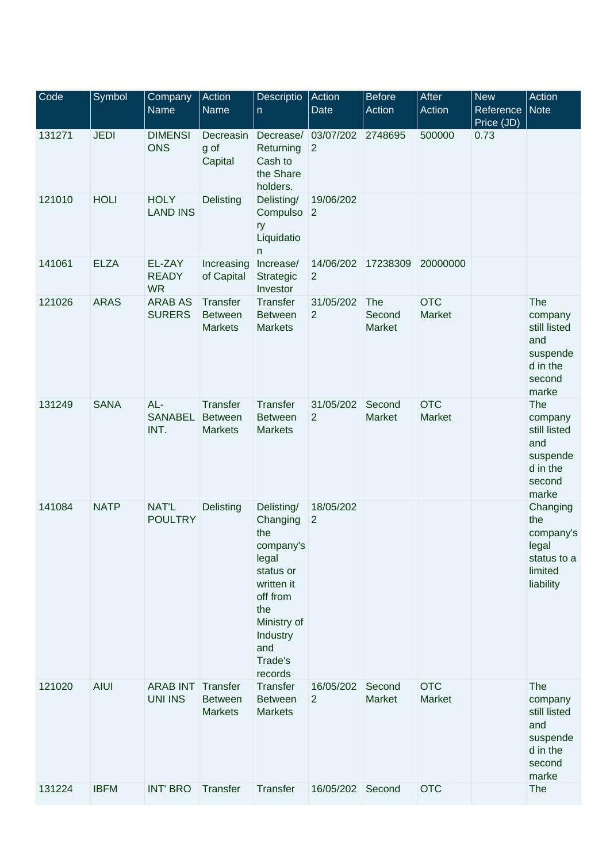| Code   | Symbol      | Company<br><b>Name</b>                     | Action<br>Name                               | Descriptio<br>n.                                                                                                                                          | Action<br><b>Date</b>            | <b>Before</b><br>Action | <b>After</b><br>Action | <b>New</b><br>Reference<br>Price (JD) | Action<br><b>Note</b>                                                            |
|--------|-------------|--------------------------------------------|----------------------------------------------|-----------------------------------------------------------------------------------------------------------------------------------------------------------|----------------------------------|-------------------------|------------------------|---------------------------------------|----------------------------------------------------------------------------------|
| 131271 | <b>JEDI</b> | <b>DIMENSI</b><br><b>ONS</b>               | Decreasin<br>g of<br>Capital                 | Returning<br>Cash to<br>the Share<br>holders.                                                                                                             | Decrease/ 03/07/202 2748695<br>2 |                         | 500000                 | 0.73                                  |                                                                                  |
| 121010 | <b>HOLI</b> | <b>HOLY</b><br><b>LAND INS</b>             | Delisting                                    | Delisting/<br>Compulso<br>ry<br>Liquidatio<br>n                                                                                                           | 19/06/202<br> 2                  |                         |                        |                                       |                                                                                  |
| 141061 | <b>ELZA</b> | EL-ZAY<br><b>READY</b><br><b>WR</b>        | Increasing<br>of Capital                     | Increase/<br>Strategic<br>Investor                                                                                                                        | 14/06/202<br>$\overline{2}$      | 17238309                | 20000000               |                                       |                                                                                  |
| 121026 | <b>ARAS</b> | <b>ARAB AS</b><br><b>SURERS</b>            | Transfer<br><b>Between</b><br><b>Markets</b> | Transfer<br><b>Between</b><br><b>Markets</b>                                                                                                              | 31/05/202<br>$\overline{2}$      | The<br>Second<br>Market | <b>OTC</b><br>Market   |                                       | The<br>company<br>still listed<br>and<br>suspende<br>d in the<br>second<br>marke |
| 131249 | <b>SANA</b> | AL-<br>SANABEL<br>INT.                     | Transfer<br><b>Between</b><br><b>Markets</b> | Transfer<br><b>Between</b><br><b>Markets</b>                                                                                                              | 31/05/202<br>$\overline{2}$      | Second<br>Market        | <b>OTC</b><br>Market   |                                       | The<br>company<br>still listed<br>and<br>suspende<br>d in the<br>second<br>marke |
| 141084 | <b>NATP</b> | <b>NAT'L</b><br><b>POULTRY</b>             | Delisting                                    | Delisting/<br>Changing<br>the<br>company's<br>legal<br>status or<br>written it<br>off from<br>the<br>Ministry of<br>Industry<br>and<br>Trade's<br>records | 18/05/202<br>$\overline{2}$      |                         |                        |                                       | Changing<br>the<br>company's<br>legal<br>status to a<br>limited<br>liability     |
| 121020 | <b>AIUI</b> | <b>ARAB INT Transfer</b><br><b>UNI INS</b> | <b>Between</b><br><b>Markets</b>             | Transfer<br><b>Between</b><br><b>Markets</b>                                                                                                              | 16/05/202<br>$\overline{2}$      | Second<br>Market        | <b>OTC</b><br>Market   |                                       | The<br>company<br>still listed<br>and<br>suspende<br>d in the<br>second<br>marke |
| 131224 | <b>IBFM</b> | <b>INT' BRO</b>                            | Transfer                                     | Transfer                                                                                                                                                  | 16/05/202 Second                 |                         | <b>OTC</b>             |                                       | The                                                                              |